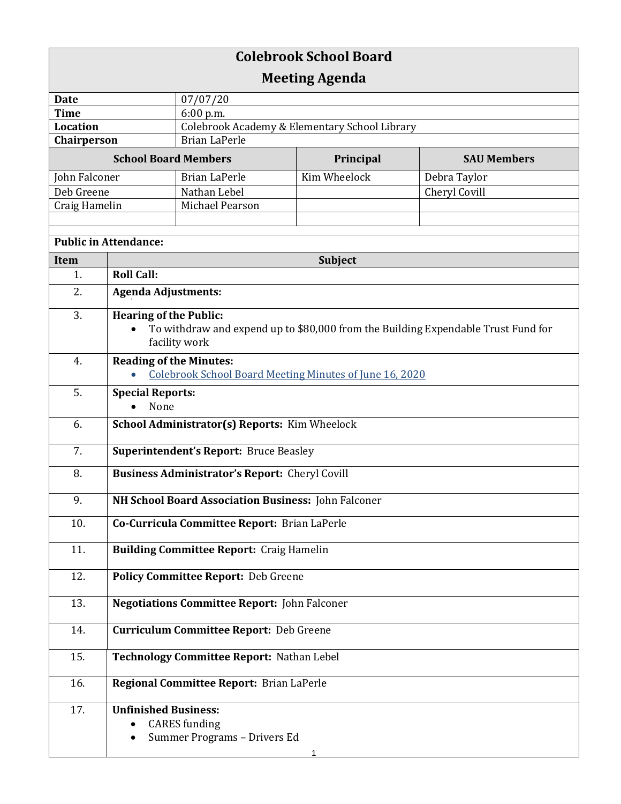| <b>Colebrook School Board</b> |                                                                                                    |                                               |              |                    |  |
|-------------------------------|----------------------------------------------------------------------------------------------------|-----------------------------------------------|--------------|--------------------|--|
| <b>Meeting Agenda</b>         |                                                                                                    |                                               |              |                    |  |
| <b>Date</b>                   |                                                                                                    | 07/07/20                                      |              |                    |  |
| <b>Time</b>                   |                                                                                                    | 6:00 p.m.                                     |              |                    |  |
| <b>Location</b>               |                                                                                                    | Colebrook Academy & Elementary School Library |              |                    |  |
| Chairperson                   |                                                                                                    | <b>Brian LaPerle</b>                          |              |                    |  |
| <b>School Board Members</b>   |                                                                                                    |                                               | Principal    | <b>SAU Members</b> |  |
| John Falconer                 |                                                                                                    | <b>Brian LaPerle</b>                          | Kim Wheelock | Debra Taylor       |  |
| Deb Greene                    |                                                                                                    | Nathan Lebel                                  |              | Cheryl Covill      |  |
| Craig Hamelin                 |                                                                                                    | Michael Pearson                               |              |                    |  |
|                               |                                                                                                    |                                               |              |                    |  |
| <b>Public in Attendance:</b>  |                                                                                                    |                                               |              |                    |  |
| Item                          | Subject                                                                                            |                                               |              |                    |  |
| 1.                            | <b>Roll Call:</b>                                                                                  |                                               |              |                    |  |
| 2.                            | <b>Agenda Adjustments:</b>                                                                         |                                               |              |                    |  |
| 3.                            | <b>Hearing of the Public:</b>                                                                      |                                               |              |                    |  |
|                               | To withdraw and expend up to \$80,000 from the Building Expendable Trust Fund for<br>facility work |                                               |              |                    |  |
| 4.                            | <b>Reading of the Minutes:</b>                                                                     |                                               |              |                    |  |
|                               | <b>Colebrook School Board Meeting Minutes of June 16, 2020</b>                                     |                                               |              |                    |  |
| 5.                            | <b>Special Reports:</b><br>None                                                                    |                                               |              |                    |  |
| 6.                            | School Administrator(s) Reports: Kim Wheelock                                                      |                                               |              |                    |  |
| 7.                            | <b>Superintendent's Report: Bruce Beasley</b>                                                      |                                               |              |                    |  |
| 8.                            | <b>Business Administrator's Report:</b> Cheryl Covill                                              |                                               |              |                    |  |
| 9.                            | NH School Board Association Business: John Falconer                                                |                                               |              |                    |  |
| 10.                           | Co-Curricula Committee Report: Brian LaPerle                                                       |                                               |              |                    |  |
| 11.                           | <b>Building Committee Report: Craig Hamelin</b>                                                    |                                               |              |                    |  |
| 12.                           | <b>Policy Committee Report: Deb Greene</b>                                                         |                                               |              |                    |  |
| 13.                           | <b>Negotiations Committee Report: John Falconer</b>                                                |                                               |              |                    |  |
| 14.                           | <b>Curriculum Committee Report: Deb Greene</b>                                                     |                                               |              |                    |  |
| 15.                           | Technology Committee Report: Nathan Lebel                                                          |                                               |              |                    |  |
| 16.                           | Regional Committee Report: Brian LaPerle                                                           |                                               |              |                    |  |
| 17.                           | <b>Unfinished Business:</b>                                                                        |                                               |              |                    |  |
|                               | $\bullet$                                                                                          | <b>CARES</b> funding                          |              |                    |  |
|                               |                                                                                                    | Summer Programs - Drivers Ed                  |              |                    |  |
|                               |                                                                                                    |                                               |              |                    |  |